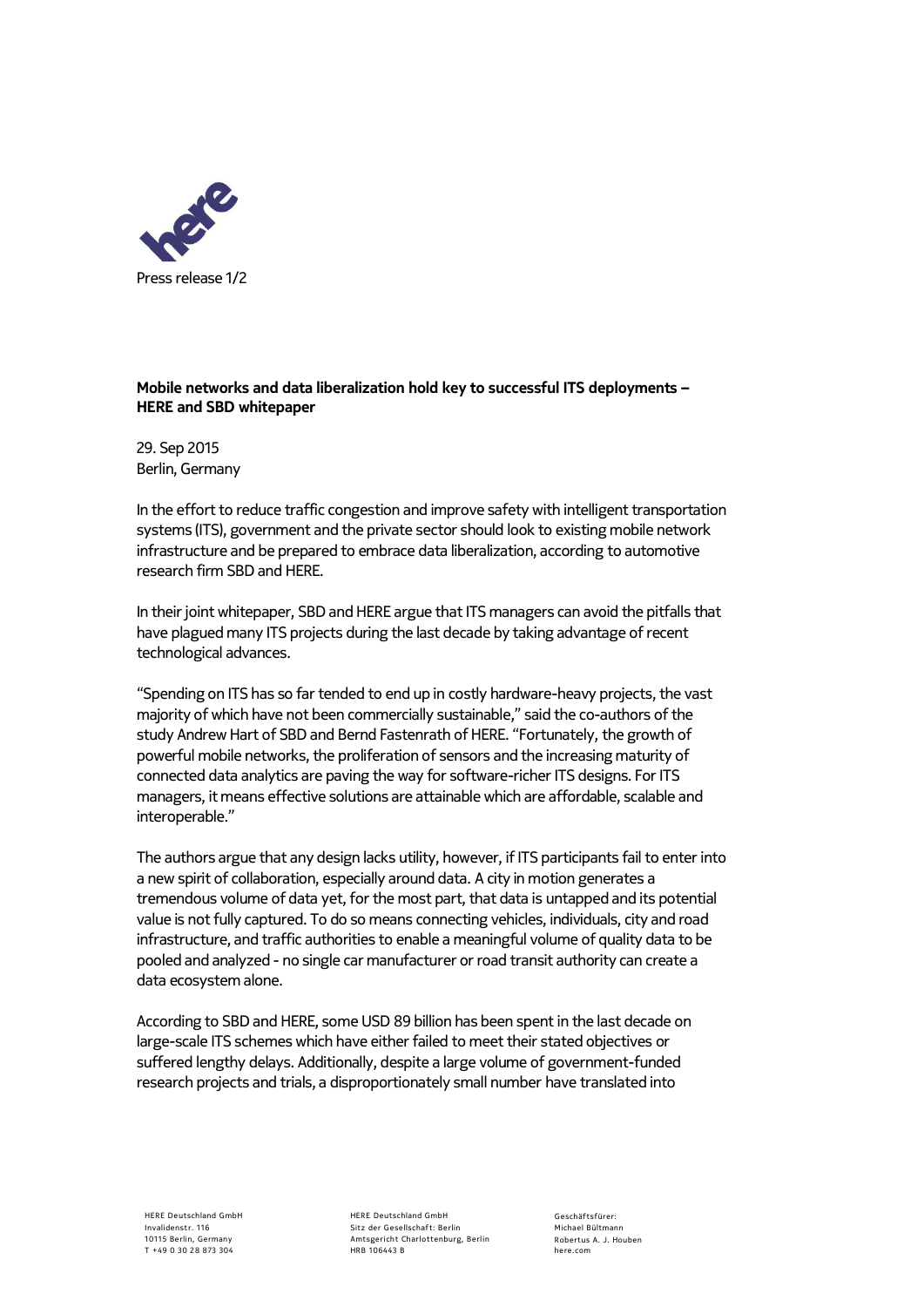

## **Mobile networks and data liberalization hold key to successful ITS deployments – HERE and SBD whitepaper**

29. Sep 2015 Berlin, Germany

In the effort to reduce traffic congestion and improve safety with intelligent transportation systems (ITS), government and the private sector should look to existing mobile network infrastructure and be prepared to embrace data liberalization, according to automotive research firm SBD and HERE.

In their joint whitepaper, SBD and HERE argue that ITS managers can avoid the pitfalls that have plagued many ITS projects during the last decade by taking advantage of recent technological advances.

"Spending on ITS has so far tended to end up in costly hardware-heavy projects, the vast majority of which have not been commercially sustainable," said the co-authors of the study Andrew Hart of SBD and Bernd Fastenrath of HERE. "Fortunately, the growth of powerful mobile networks, the proliferation of sensors and the increasing maturity of connected data analytics are paving the way for software-richer ITS designs. For ITS managers, it means effective solutions are attainable which are affordable, scalable and interoperable."

The authors argue that any design lacks utility, however, if ITS participants fail to enter into a new spirit of collaboration, especially around data. A city in motion generates a tremendous volume of data yet, for the most part, that data is untapped and its potential value is not fully captured. To do so means connecting vehicles, individuals, city and road infrastructure, and traffic authorities to enable a meaningful volume of quality data to be pooled and analyzed - no single car manufacturer or road transit authority can create a data ecosystem alone.

According to SBD and HERE, some USD 89 billion has been spent in the last decade on large-scale ITS schemes which have either failed to meet their stated objectives or suffered lengthy delays. Additionally, despite a large volume of government-funded research projects and trials, a disproportionately small number have translated into

HERE Deutschland GmbH Invalidenstr 116 10115 Berlin, Germany T + 49 0 30 28 873 304

HERE Deutschland GmbH Sitz der Gesellschaft: Berlin Amtsgericht Charlottenburg, Berlin HRB 106443 B

G eschäf tsf ürer: Michael Bültmann R obertus A. J. Houben here.com